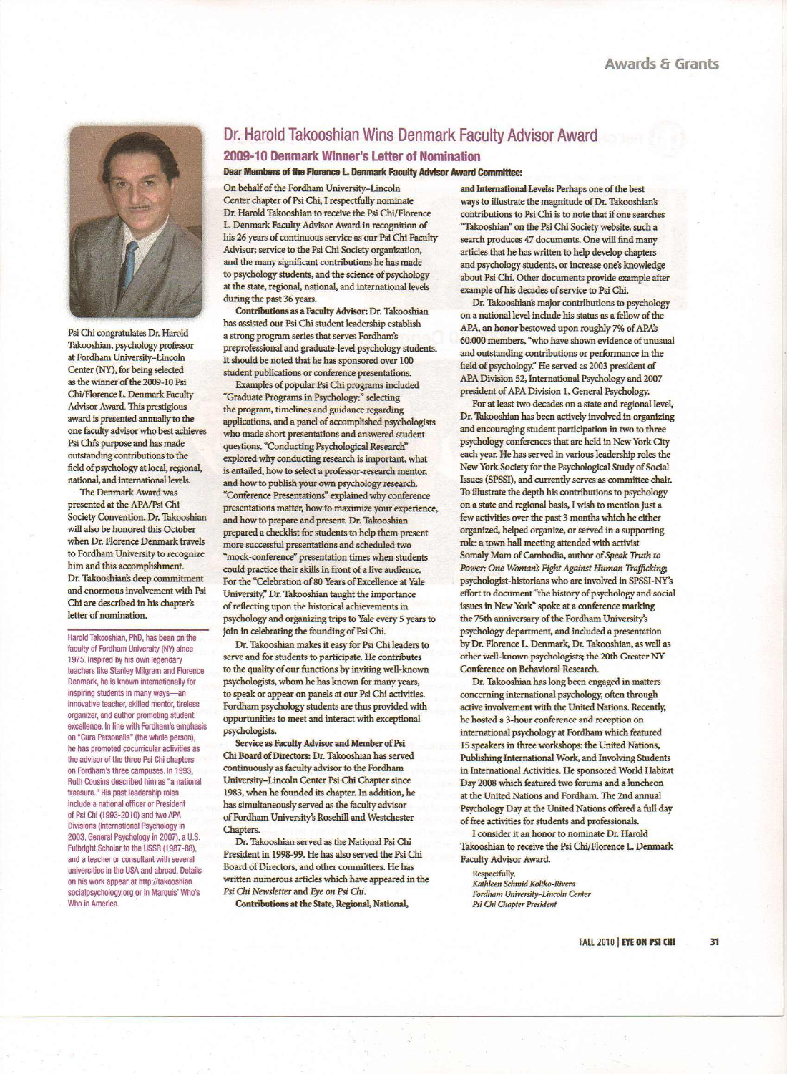

Psi Chi congratulates Dr. Harold Takooshian, psychology professor at Fordham University-Lincoln Center (NY). for being selected as the winner of the 2009·10 Psi Chi/Florence L. Denmark Faculty Advisor Award. This prestigious award is presented annually to the one faculty advisor who best achieves Psi Chis purpose and has made outstanding contributions to the field of psychology at local, regional, national, and international levels.

The Denmark Award was presented at the APA/Psi Chi Society Convention. Dr. Takooshian will also be honored this October when Dr. Florence Denmark travels to Fordham University to recognize him and this accomplishment. Dr. Takooshian's deep commitment and enormous involvement with Psi Chi are described in his chapter's letter of nomination.

Harold Takooshian, PhD, has been on the faculty of Fordham University (NY) since 1975. Inspired by his own legendary teachers like Stanley Milgram and Florence Denmark, he is known internationally for inspiring students in many ways-an innovative teacher, skilled mentor, tireless organizer, and author promoting student excellence. In line with Fordham's emphasis on "Cura Personalis' (the whole person), he has promoted cocurricular activities as the advisor of the three Psi Chi chapters on Fordham's three campuses. In 1993, Ruth Cousins described him as "a national treasure." His past leadership roles include a national officer or President of Psi Chi (1993-201 0) and two APA Divisions (International Psychology in 2003, General Psychology in 2007), a U.S. Fulbright Scholar to the USSR (1987-88), and a teacher or consultant with several universities in the USA and abroad. Details on his work appear at http://takooshian. socialpsychology.org or in Marquis' Who's Who in America.

## Dr. Harold Takooshian Wins Denmark Faculty Advisor Award

### 2009-10 Denmark Winner's Letter of Nomination

Dear Members of the Florence L. Denmark Faculty Advisor Award Committee:

On behalf of the Fordham University-Lincoln Center chapter of Psi Chi, I respectfully nominate Dr. Harold Takooshian to receive the Psi Chi/Florence *L.* Denmark Faculty Advisor Award in recognition of his 26 years of continuous service as our Psi Chi Faculty Advisor; service to the Psi Chi Society organization. and the many significant contributions he has made to psychology students, and the science of psychology at the state, regional, national. and international levels during the past 36 years.

Contributions as a Faculty Advisor: Dr. Takooshian has assisted our Psi Chi student leadership establish a strong program series that serves Fordham's preprofessional and graduate-level psychology students. It should be noted that he has sponsored over 100 student publications or conference presentations.

Examples of popular Psi Chi programs included "Graduate Programs in Psychology:" selecting the program. timelines and guidance regarding applications. and a panel of accomplished psychologists who made short presentations and answered student questions. "Conducting Psychological Research" explored why conducting research is important, what is entailed, how to select a professor-research mentor, and how to publish your own psychology research. "Conference Presentations" explained why conference presentations matter. how to maximize your experience, and bow to prepare and present. Dr. Takooshian prepared a checklist for students to help them present more successful presentations and scheduled two "mock-conference" presentation times when students could practice their skills in front of a live audience. For the "Celebration of 80 Years of Excellence at Yale University;" Dr. Takooshian taught the importance of reflecting upon the historical achievements in psychology and organizing trips to Yale every 5 years to join in celebrating the founding of Psi Chi.

Dr. Takooshian makes it easy for Psi Chi leaders to serve and for students to participate. He contributes to the quality of our functions *by* inviting well-known psychologists, whom he has known for many years. to speak or appear on panels at our Psi Chi activities. Fordham psychology students are thus provided with opportunities to meet and interact with exceptional psychologists.

Service as Faculty Advisor and Member of Psi Chi Board of Directors: Dr. Takooshian has served continuously as faculty advisor to the Fordham University-Lincoln Center Psi Chi Chapter since 1983. when he founded its chapter. In addition, he has simultaneously served as the faculty advisor of Fordham University's Rosehill and Westchester Chapters.

Dr. Takooshian served as the National Psi Chi President in 1998-99. He has also served the Psi Chi Board of Directors. and other committees. He has written numerous articles which have appeared in the *Psi Chi Newsletter* and *Eye on* Psi *Chi.* Contributions at the State, Regional. National.

and International Levels: Perhaps one of the best ways to illustrate the magnitude of Dr. Takooshian's contributions to Psi Chi is to note that if one searches "Takooshian" on the Psi Chi Society website. such a search produces 47 documents. One will find many articles that he has written to help develop chapters and psychology students, or increase one's knowledge about Psi Chi. Other docwnents provide example after example of his decades of service to Psi Chi.

Dr. Takooshian's major contributions to psychology on a national level include his status as a fellow of the APA, an honor bestowed upon roughly 7% of *APAS* 60.000 members. "who have shown evidence of unusual and outstanding contributions or performance in the field of psychology." He served as 2003 president of APA Division 52. International Psychology and 2007 president of APA Division 1, General Psychology.

For at least two decades on a state and regional level, Dr. Takooshian has been actively involved in organizing and encouraging student participation in two to three psychology conferences that are held in New York City each year. He has served in various leadership roles the New York Society for the Psychological Study of Social Issues (SPSSI). and currently serves as committee chair. To illustrate the depth his contributions to psychology on a state and regional basis, I wish to mention just a few activities over the past 3 months which he either organized, helped organize. or served in a supporting role: a town hall meeting attended with activist Somaly Mam of Cambodia, author of *Speak Truth to Power: One Woman~ Fight Against Human Trafficking;* psychologist-historians who are involved in SPSSJ-NY's effort to document "the history of psychology and social issues in New York" spoke at a conference marking the 75th anniversary of the Fordham University's psychology department, and included a presentation by Dr. Florence L. Denmark, Dr. Takooshian, as well as other well-known psychologists; the 20th Greater NY Conference on Behavioral Research..

Dr. Takooshian has long been engaged in matters concerning international psychology. often through active involvement with the United Nations. Recently. he hosted a 3-hour conference and reception on international psychology at Fordham which featured 15 speakers in three workshops: the United Nations. Publishing International Work. and Involving Students in International Activities. He sponsored World Habitat Day 2008 which featured two forums and a luncheon at the United Nations and Fordham. The 2nd annual Psychology Day at the United Nations offered a full day of free activities for students and professionals.

Iconsider it an honor to nominate Dr. Harold Takooshian to receive the Psi Chi/Florence L. Denmark Faculty Advisor Award.

Respectfully, *Kathleen Schmid Koltko-Rivera Fordham University-Lincoln* Center *Psi Chi Chapter President*